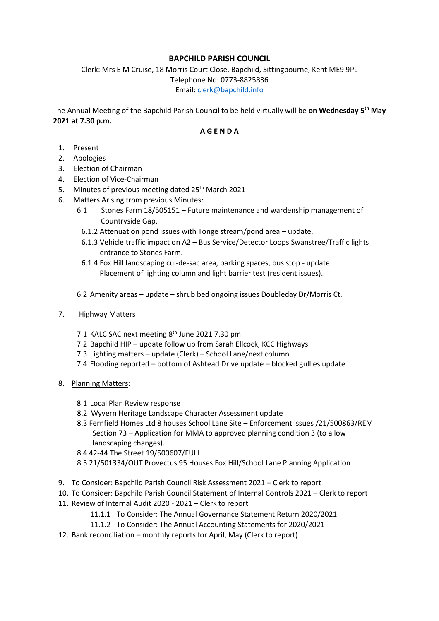## **BAPCHILD PARISH COUNCIL**

Clerk: Mrs E M Cruise, 18 Morris Court Close, Bapchild, Sittingbourne, Kent ME9 9PL Telephone No: 0773-8825836 Email: [clerk@bapchild.info](mailto:clerk@bapchild.info)

The Annual Meeting of the Bapchild Parish Council to be held virtually will be **on Wednesday 5th May 2021 at 7.30 p.m.**

## **A G E N D A**

- 1. Present
- 2. Apologies
- 3. Election of Chairman
- 4. Election of Vice-Chairman
- 5. Minutes of previous meeting dated 25<sup>th</sup> March 2021
- 6. Matters Arising from previous Minutes:
	- 6.1 Stones Farm 18/505151 Future maintenance and wardenship management of Countryside Gap.
		- 6.1.2 Attenuation pond issues with Tonge stream/pond area update.
		- 6.1.3 Vehicle traffic impact on A2 Bus Service/Detector Loops Swanstree/Traffic lights entrance to Stones Farm.
		- 6.1.4 Fox Hill landscaping cul-de-sac area, parking spaces, bus stop update. Placement of lighting column and light barrier test (resident issues).
	- 6.2 Amenity areas update shrub bed ongoing issues Doubleday Dr/Morris Ct.
- 7. Highway Matters
	- 7.1 KALC SAC next meeting 8<sup>th</sup> June 2021 7.30 pm
	- 7.2 Bapchild HIP update follow up from Sarah Ellcock, KCC Highways
	- 7.3 Lighting matters update (Clerk) School Lane/next column
	- 7.4 Flooding reported bottom of Ashtead Drive update blocked gullies update
- 8. Planning Matters:
	- 8.1 Local Plan Review response
	- 8.2 Wyvern Heritage Landscape Character Assessment update
	- 8.3 Fernfield Homes Ltd 8 houses School Lane Site Enforcement issues /21/500863/REM Section 73 – Application for MMA to approved planning condition 3 (to allow landscaping changes).
	- 8.4 42-44 The Street 19/500607/FULL
	- 8.5 21/501334/OUT Provectus 95 Houses Fox Hill/School Lane Planning Application
- 9. To Consider: Bapchild Parish Council Risk Assessment 2021 Clerk to report
- 10. To Consider: Bapchild Parish Council Statement of Internal Controls 2021 Clerk to report
- 11. Review of Internal Audit 2020 2021 Clerk to report
	- 11.1.1 To Consider: The Annual Governance Statement Return 2020/2021
	- 11.1.2 To Consider: The Annual Accounting Statements for 2020/2021
- 12. Bank reconciliation monthly reports for April, May (Clerk to report)